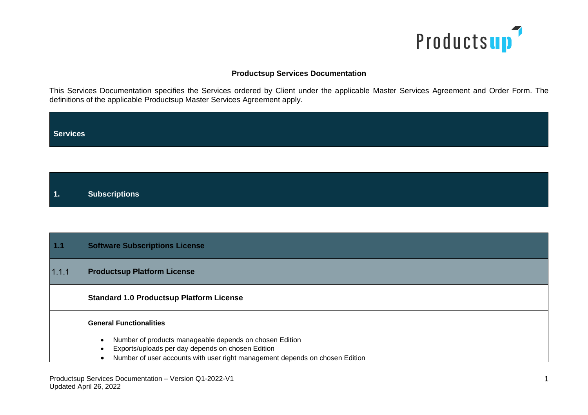

## **Productsup Services Documentation**

This Services Documentation specifies the Services ordered by Client under the applicable Master Services Agreement and Order Form. The definitions of the applicable Productsup Master Services Agreement apply.

| Services |  |  |  |
|----------|--|--|--|
|          |  |  |  |

| 1. | Subscriptions |
|----|---------------|
|    |               |

| $1.1$ | <b>Software Subscriptions License</b>                                        |
|-------|------------------------------------------------------------------------------|
| 1.1.1 | <b>Productsup Platform License</b>                                           |
|       | <b>Standard 1.0 Productsup Platform License</b>                              |
|       | <b>General Functionalities</b>                                               |
|       | Number of products manageable depends on chosen Edition                      |
|       | Exports/uploads per day depends on chosen Edition                            |
|       | Number of user accounts with user right management depends on chosen Edition |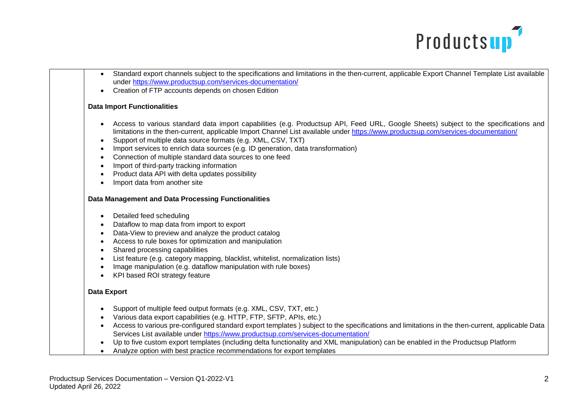

- Standard export channels subject to the specifications and limitations in the then-current, applicable Export Channel Template List available under<https://www.productsup.com/services-documentation/>
- Creation of FTP accounts depends on chosen Edition

## **Data Import Functionalities**

- Access to various standard data import capabilities (e.g. Productsup API, Feed URL, Google Sheets) subject to the specifications and limitations in the then-current, applicable Import Channel List available under<https://www.productsup.com/services-documentation/>
- Support of multiple data source formats (e.g. XML, CSV, TXT)
- Import services to enrich data sources (e.g. ID generation, data transformation)
- Connection of multiple standard data sources to one feed
- Import of third-party tracking information
- Product data API with delta updates possibility
- Import data from another site

## **Data Management and Data Processing Functionalities**

- Detailed feed scheduling
- Dataflow to map data from import to export
- Data-View to preview and analyze the product catalog
- Access to rule boxes for optimization and manipulation
- Shared processing capabilities
- List feature (e.g. category mapping, blacklist, whitelist, normalization lists)
- Image manipulation (e.g. dataflow manipulation with rule boxes)
- KPI based ROI strategy feature

## **Data Export**

- Support of multiple feed output formats (e.g. XML, CSV, TXT, etc.)
- Various data export capabilities (e.g. HTTP, FTP, SFTP, APIs, etc.)
- Access to various pre-configured standard export templates ) subject to the specifications and limitations in the then-current, applicable Data Services List available under<https://www.productsup.com/services-documentation/>
- Up to five custom export templates (including delta functionality and XML manipulation) can be enabled in the Productsup Platform
- Analyze option with best practice recommendations for export templates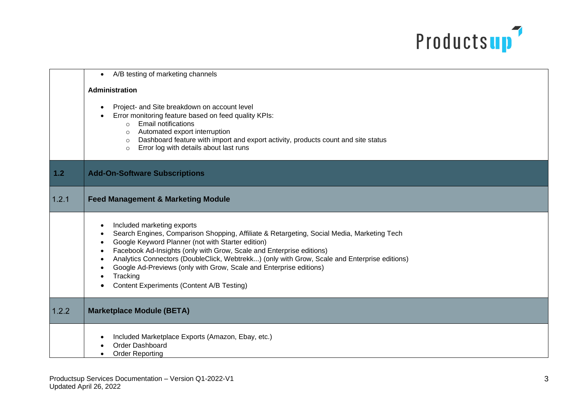

|               | A/B testing of marketing channels<br>$\bullet$                                                                                                                                                                                                                                                                                                                                                                                                                                       |
|---------------|--------------------------------------------------------------------------------------------------------------------------------------------------------------------------------------------------------------------------------------------------------------------------------------------------------------------------------------------------------------------------------------------------------------------------------------------------------------------------------------|
|               | <b>Administration</b>                                                                                                                                                                                                                                                                                                                                                                                                                                                                |
|               | Project- and Site breakdown on account level<br>Error monitoring feature based on feed quality KPIs:<br>$\circ$ Email notifications<br>Automated export interruption<br>$\circ$<br>o Dashboard feature with import and export activity, products count and site status<br>Error log with details about last runs<br>$\circ$                                                                                                                                                          |
| $\boxed{1.2}$ | <b>Add-On-Software Subscriptions</b>                                                                                                                                                                                                                                                                                                                                                                                                                                                 |
| 1.2.1         | <b>Feed Management &amp; Marketing Module</b>                                                                                                                                                                                                                                                                                                                                                                                                                                        |
|               | Included marketing exports<br>Search Engines, Comparison Shopping, Affiliate & Retargeting, Social Media, Marketing Tech<br>Google Keyword Planner (not with Starter edition)<br>Facebook Ad-Insights (only with Grow, Scale and Enterprise editions)<br>Analytics Connectors (DoubleClick, Webtrekk) (only with Grow, Scale and Enterprise editions)<br>Google Ad-Previews (only with Grow, Scale and Enterprise editions)<br>Tracking<br>Content Experiments (Content A/B Testing) |
| 1.2.2         | <b>Marketplace Module (BETA)</b>                                                                                                                                                                                                                                                                                                                                                                                                                                                     |
|               | Included Marketplace Exports (Amazon, Ebay, etc.)<br>Order Dashboard<br><b>Order Reporting</b>                                                                                                                                                                                                                                                                                                                                                                                       |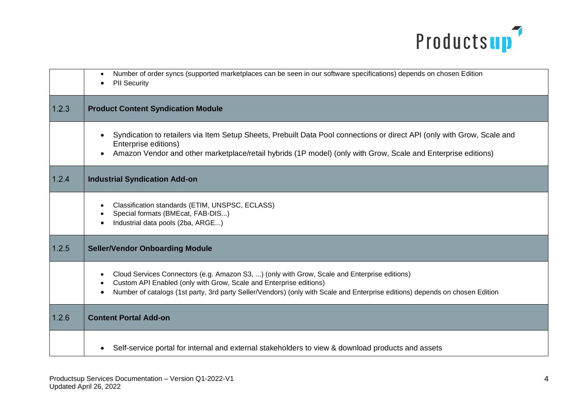

|       | Number of order syncs (supported marketplaces can be seen in our software specifications) depends on chosen Edition<br><b>PII Security</b>                                                                                                                                                         |
|-------|----------------------------------------------------------------------------------------------------------------------------------------------------------------------------------------------------------------------------------------------------------------------------------------------------|
| 1.2.3 | <b>Product Content Syndication Module</b>                                                                                                                                                                                                                                                          |
|       | Syndication to retailers via Item Setup Sheets, Prebuilt Data Pool connections or direct API (only with Grow, Scale and<br>Enterprise editions)<br>Amazon Vendor and other marketplace/retail hybrids (1P model) (only with Grow, Scale and Enterprise editions)                                   |
| 1.2.4 | <b>Industrial Syndication Add-on</b>                                                                                                                                                                                                                                                               |
|       | Classification standards (ETIM, UNSPSC, ECLASS)<br>Special formats (BMEcat, FAB-DIS)<br>Industrial data pools (2ba, ARGE)                                                                                                                                                                          |
| 1.2.5 | <b>Seller/Vendor Onboarding Module</b>                                                                                                                                                                                                                                                             |
|       | Cloud Services Connectors (e.g. Amazon S3, ) (only with Grow, Scale and Enterprise editions)<br>Custom API Enabled (only with Grow, Scale and Enterprise editions)<br>Number of catalogs (1st party, 3rd party Seller/Vendors) (only with Scale and Enterprise editions) depends on chosen Edition |
| 1.2.6 | <b>Content Portal Add-on</b>                                                                                                                                                                                                                                                                       |
|       | Self-service portal for internal and external stakeholders to view & download products and assets                                                                                                                                                                                                  |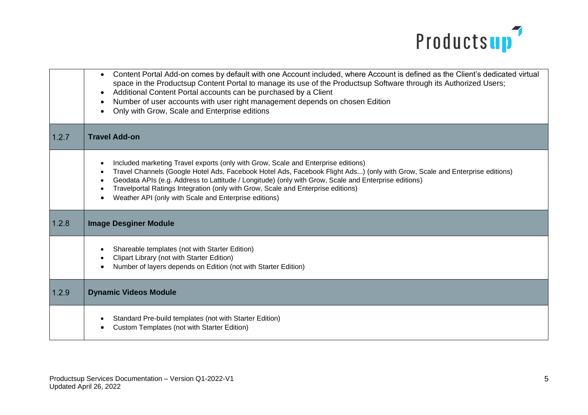

|       | Content Portal Add-on comes by default with one Account included, where Account is defined as the Client's dedicated virtual<br>space in the Productsup Content Portal to manage its use of the Productsup Software through its Authorized Users;<br>Additional Content Portal accounts can be purchased by a Client<br>Number of user accounts with user right management depends on chosen Edition<br>Only with Grow, Scale and Enterprise editions                 |
|-------|-----------------------------------------------------------------------------------------------------------------------------------------------------------------------------------------------------------------------------------------------------------------------------------------------------------------------------------------------------------------------------------------------------------------------------------------------------------------------|
| 1.2.7 | <b>Travel Add-on</b>                                                                                                                                                                                                                                                                                                                                                                                                                                                  |
|       | Included marketing Travel exports (only with Grow, Scale and Enterprise editions)<br>Travel Channels (Google Hotel Ads, Facebook Hotel Ads, Facebook Flight Ads) (only with Grow, Scale and Enterprise editions)<br>Geodata APIs (e.g. Address to Lattitude / Longitude) (only with Grow, Scale and Enterprise editions)<br>Travelportal Ratings Integration (only with Grow, Scale and Enterprise editions)<br>Weather API (only with Scale and Enterprise editions) |
| 1.2.8 | <b>Image Desginer Module</b>                                                                                                                                                                                                                                                                                                                                                                                                                                          |
|       | Shareable templates (not with Starter Edition)<br>Clipart Library (not with Starter Edition)<br>Number of layers depends on Edition (not with Starter Edition)                                                                                                                                                                                                                                                                                                        |
| 1.2.9 | <b>Dynamic Videos Module</b>                                                                                                                                                                                                                                                                                                                                                                                                                                          |
|       | Standard Pre-build templates (not with Starter Edition)<br><b>Custom Templates (not with Starter Edition)</b>                                                                                                                                                                                                                                                                                                                                                         |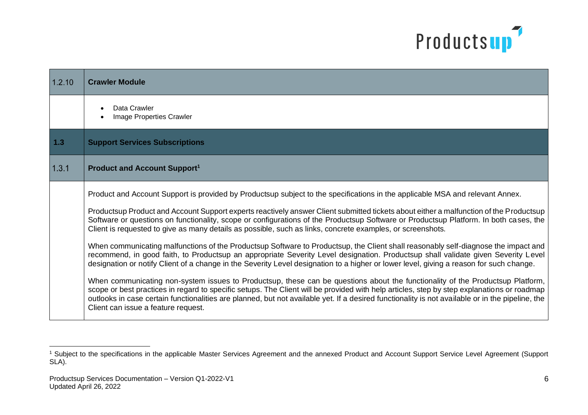

| 1.2.10 | <b>Crawler Module</b>                                                                                                                                                                                                                                                                                                                                                                                                                                                   |
|--------|-------------------------------------------------------------------------------------------------------------------------------------------------------------------------------------------------------------------------------------------------------------------------------------------------------------------------------------------------------------------------------------------------------------------------------------------------------------------------|
|        | Data Crawler<br>Image Properties Crawler                                                                                                                                                                                                                                                                                                                                                                                                                                |
| $1.3$  | <b>Support Services Subscriptions</b>                                                                                                                                                                                                                                                                                                                                                                                                                                   |
| 1.3.1  | <b>Product and Account Support1</b>                                                                                                                                                                                                                                                                                                                                                                                                                                     |
|        | Product and Account Support is provided by Productsup subject to the specifications in the applicable MSA and relevant Annex.                                                                                                                                                                                                                                                                                                                                           |
|        | Productsup Product and Account Support experts reactively answer Client submitted tickets about either a malfunction of the Productsup<br>Software or questions on functionality, scope or configurations of the Productsup Software or Productsup Platform. In both cases, the<br>Client is requested to give as many details as possible, such as links, concrete examples, or screenshots.                                                                           |
|        | When communicating malfunctions of the Productsup Software to Productsup, the Client shall reasonably self-diagnose the impact and<br>recommend, in good faith, to Productsup an appropriate Severity Level designation. Productsup shall validate given Severity Level<br>designation or notify Client of a change in the Severity Level designation to a higher or lower level, giving a reason for such change.                                                      |
|        | When communicating non-system issues to Productsup, these can be questions about the functionality of the Productsup Platform,<br>scope or best practices in regard to specific setups. The Client will be provided with help articles, step by step explanations or roadmap<br>outlooks in case certain functionalities are planned, but not available yet. If a desired functionality is not available or in the pipeline, the<br>Client can issue a feature request. |

<sup>&</sup>lt;sup>1</sup> Subject to the specifications in the applicable Master Services Agreement and the annexed Product and Account Support Service Level Agreement (Support SLA).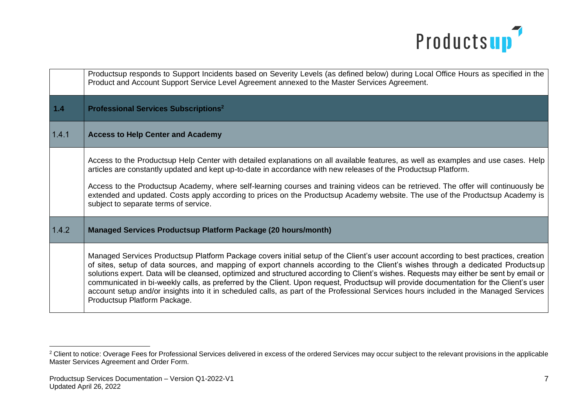

|       | Productsup responds to Support Incidents based on Severity Levels (as defined below) during Local Office Hours as specified in the<br>Product and Account Support Service Level Agreement annexed to the Master Services Agreement.                                                                                                                                                                                                                                                                                                                                                                                                                                                                                                   |
|-------|---------------------------------------------------------------------------------------------------------------------------------------------------------------------------------------------------------------------------------------------------------------------------------------------------------------------------------------------------------------------------------------------------------------------------------------------------------------------------------------------------------------------------------------------------------------------------------------------------------------------------------------------------------------------------------------------------------------------------------------|
| $1.4$ | <b>Professional Services Subscriptions<sup>2</sup></b>                                                                                                                                                                                                                                                                                                                                                                                                                                                                                                                                                                                                                                                                                |
| 1.4.1 | <b>Access to Help Center and Academy</b>                                                                                                                                                                                                                                                                                                                                                                                                                                                                                                                                                                                                                                                                                              |
|       | Access to the Productsup Help Center with detailed explanations on all available features, as well as examples and use cases. Help<br>articles are constantly updated and kept up-to-date in accordance with new releases of the Productsup Platform.<br>Access to the Productsup Academy, where self-learning courses and training videos can be retrieved. The offer will continuously be<br>extended and updated. Costs apply according to prices on the Productsup Academy website. The use of the Productsup Academy is<br>subject to separate terms of service.                                                                                                                                                                 |
| 1.4.2 | <b>Managed Services Productsup Platform Package (20 hours/month)</b>                                                                                                                                                                                                                                                                                                                                                                                                                                                                                                                                                                                                                                                                  |
|       | Managed Services Productsup Platform Package covers initial setup of the Client's user account according to best practices, creation<br>of sites, setup of data sources, and mapping of export channels according to the Client's wishes through a dedicated Productsup<br>solutions expert. Data will be cleansed, optimized and structured according to Client's wishes. Requests may either be sent by email or<br>communicated in bi-weekly calls, as preferred by the Client. Upon request, Productsup will provide documentation for the Client's user<br>account setup and/or insights into it in scheduled calls, as part of the Professional Services hours included in the Managed Services<br>Productsup Platform Package. |

<sup>&</sup>lt;sup>2</sup> Client to notice: Overage Fees for Professional Services delivered in excess of the ordered Services may occur subject to the relevant provisions in the applicable Master Services Agreement and Order Form.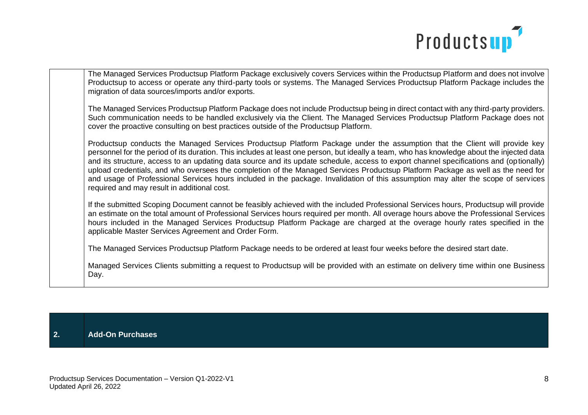

The Managed Services Productsup Platform Package exclusively covers Services within the Productsup Platform and does not involve Productsup to access or operate any third-party tools or systems. The Managed Services Productsup Platform Package includes the migration of data sources/imports and/or exports.

The Managed Services Productsup Platform Package does not include Productsup being in direct contact with any third-party providers. Such communication needs to be handled exclusively via the Client. The Managed Services Productsup Platform Package does not cover the proactive consulting on best practices outside of the Productsup Platform.

Productsup conducts the Managed Services Productsup Platform Package under the assumption that the Client will provide key personnel for the period of its duration. This includes at least one person, but ideally a team, who has knowledge about the injected data and its structure, access to an updating data source and its update schedule, access to export channel specifications and (optionally) upload credentials, and who oversees the completion of the Managed Services Productsup Platform Package as well as the need for and usage of Professional Services hours included in the package. Invalidation of this assumption may alter the scope of services required and may result in additional cost.

If the submitted Scoping Document cannot be feasibly achieved with the included Professional Services hours, Productsup will provide an estimate on the total amount of Professional Services hours required per month. All overage hours above the Professional Services hours included in the Managed Services Productsup Platform Package are charged at the overage hourly rates specified in the applicable Master Services Agreement and Order Form.

The Managed Services Productsup Platform Package needs to be ordered at least four weeks before the desired start date.

Managed Services Clients submitting a request to Productsup will be provided with an estimate on delivery time within one Business Day.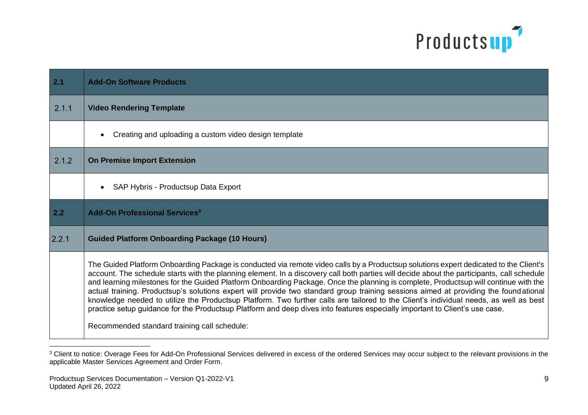

| 2.1   | <b>Add-On Software Products</b>                                                                                                                                                                                                                                                                                                                                                                                                                                                                                                                                                                                                                                                                                                                                                                                                             |
|-------|---------------------------------------------------------------------------------------------------------------------------------------------------------------------------------------------------------------------------------------------------------------------------------------------------------------------------------------------------------------------------------------------------------------------------------------------------------------------------------------------------------------------------------------------------------------------------------------------------------------------------------------------------------------------------------------------------------------------------------------------------------------------------------------------------------------------------------------------|
| 2.1.1 | <b>Video Rendering Template</b>                                                                                                                                                                                                                                                                                                                                                                                                                                                                                                                                                                                                                                                                                                                                                                                                             |
|       | Creating and uploading a custom video design template                                                                                                                                                                                                                                                                                                                                                                                                                                                                                                                                                                                                                                                                                                                                                                                       |
| 2.1.2 | <b>On Premise Import Extension</b>                                                                                                                                                                                                                                                                                                                                                                                                                                                                                                                                                                                                                                                                                                                                                                                                          |
|       | SAP Hybris - Productsup Data Export                                                                                                                                                                                                                                                                                                                                                                                                                                                                                                                                                                                                                                                                                                                                                                                                         |
| 2.2   | <b>Add-On Professional Services<sup>3</sup></b>                                                                                                                                                                                                                                                                                                                                                                                                                                                                                                                                                                                                                                                                                                                                                                                             |
| 2.2.1 | <b>Guided Platform Onboarding Package (10 Hours)</b>                                                                                                                                                                                                                                                                                                                                                                                                                                                                                                                                                                                                                                                                                                                                                                                        |
|       | The Guided Platform Onboarding Package is conducted via remote video calls by a Productsup solutions expert dedicated to the Client's<br>account. The schedule starts with the planning element. In a discovery call both parties will decide about the participants, call schedule<br>and learning milestones for the Guided Platform Onboarding Package. Once the planning is complete, Productsup will continue with the<br>actual training. Productsup's solutions expert will provide two standard group training sessions aimed at providing the foundational<br>knowledge needed to utilize the Productsup Platform. Two further calls are tailored to the Client's individual needs, as well as best<br>practice setup guidance for the Productsup Platform and deep dives into features especially important to Client's use case. |
|       | Recommended standard training call schedule:                                                                                                                                                                                                                                                                                                                                                                                                                                                                                                                                                                                                                                                                                                                                                                                                |

<sup>&</sup>lt;sup>3</sup> Client to notice: Overage Fees for Add-On Professional Services delivered in excess of the ordered Services may occur subject to the relevant provisions in the applicable Master Services Agreement and Order Form.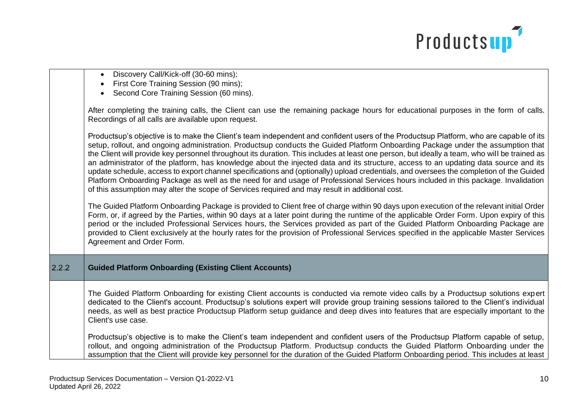

|       | • Discovery Call/Kick-off (30-60 mins);<br>First Core Training Session (90 mins);<br>Second Core Training Session (60 mins).                                                                                                                                                                                                                                                                                                                                                                                                                                                                                                                                                                                                                                                                                                                                                                                                                           |
|-------|--------------------------------------------------------------------------------------------------------------------------------------------------------------------------------------------------------------------------------------------------------------------------------------------------------------------------------------------------------------------------------------------------------------------------------------------------------------------------------------------------------------------------------------------------------------------------------------------------------------------------------------------------------------------------------------------------------------------------------------------------------------------------------------------------------------------------------------------------------------------------------------------------------------------------------------------------------|
|       | After completing the training calls, the Client can use the remaining package hours for educational purposes in the form of calls.<br>Recordings of all calls are available upon request.                                                                                                                                                                                                                                                                                                                                                                                                                                                                                                                                                                                                                                                                                                                                                              |
|       | Productsup's objective is to make the Client's team independent and confident users of the Productsup Platform, who are capable of its<br>setup, rollout, and ongoing administration. Productsup conducts the Guided Platform Onboarding Package under the assumption that<br>the Client will provide key personnel throughout its duration. This includes at least one person, but ideally a team, who will be trained as<br>an administrator of the platform, has knowledge about the injected data and its structure, access to an updating data source and its<br>update schedule, access to export channel specifications and (optionally) upload credentials, and oversees the completion of the Guided<br>Platform Onboarding Package as well as the need for and usage of Professional Services hours included in this package. Invalidation<br>of this assumption may alter the scope of Services required and may result in additional cost. |
|       | The Guided Platform Onboarding Package is provided to Client free of charge within 90 days upon execution of the relevant initial Order<br>Form, or, if agreed by the Parties, within 90 days at a later point during the runtime of the applicable Order Form. Upon expiry of this<br>period or the included Professional Services hours, the Services provided as part of the Guided Platform Onboarding Package are<br>provided to Client exclusively at the hourly rates for the provision of Professional Services specified in the applicable Master Services<br>Agreement and Order Form.                                                                                                                                                                                                                                                                                                                                                       |
| 2.2.2 | <b>Guided Platform Onboarding (Existing Client Accounts)</b>                                                                                                                                                                                                                                                                                                                                                                                                                                                                                                                                                                                                                                                                                                                                                                                                                                                                                           |
|       | The Guided Platform Onboarding for existing Client accounts is conducted via remote video calls by a Productsup solutions expert<br>dedicated to the Client's account. Productsup's solutions expert will provide group training sessions tailored to the Client's individual<br>needs, as well as best practice Productsup Platform setup guidance and deep dives into features that are especially important to the<br>Client's use case.                                                                                                                                                                                                                                                                                                                                                                                                                                                                                                            |
|       | Productsup's objective is to make the Client's team independent and confident users of the Productsup Platform capable of setup,<br>rollout, and ongoing administration of the Productsup Platform. Productsup conducts the Guided Platform Onboarding under the<br>assumption that the Client will provide key personnel for the duration of the Guided Platform Onboarding period. This includes at least                                                                                                                                                                                                                                                                                                                                                                                                                                                                                                                                            |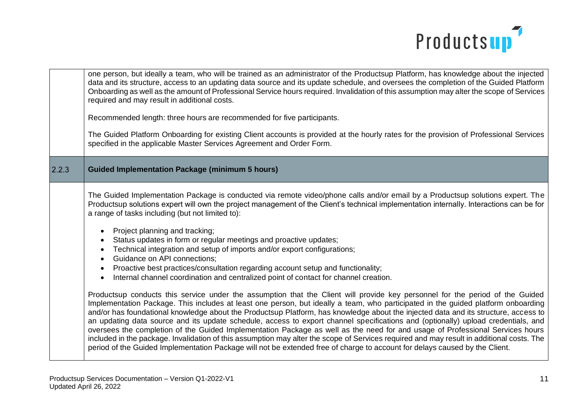

|       | one person, but ideally a team, who will be trained as an administrator of the Productsup Platform, has knowledge about the injected<br>data and its structure, access to an updating data source and its update schedule, and oversees the completion of the Guided Platform<br>Onboarding as well as the amount of Professional Service hours required. Invalidation of this assumption may alter the scope of Services<br>required and may result in additional costs.<br>Recommended length: three hours are recommended for five participants.<br>The Guided Platform Onboarding for existing Client accounts is provided at the hourly rates for the provision of Professional Services<br>specified in the applicable Master Services Agreement and Order Form.                                                                                                                                                                                                                                                                                                                                                                                                                                                                                                                                                                                                                                                                                                                                                                                                                                                                                                                              |
|-------|-----------------------------------------------------------------------------------------------------------------------------------------------------------------------------------------------------------------------------------------------------------------------------------------------------------------------------------------------------------------------------------------------------------------------------------------------------------------------------------------------------------------------------------------------------------------------------------------------------------------------------------------------------------------------------------------------------------------------------------------------------------------------------------------------------------------------------------------------------------------------------------------------------------------------------------------------------------------------------------------------------------------------------------------------------------------------------------------------------------------------------------------------------------------------------------------------------------------------------------------------------------------------------------------------------------------------------------------------------------------------------------------------------------------------------------------------------------------------------------------------------------------------------------------------------------------------------------------------------------------------------------------------------------------------------------------------------|
| 2.2.3 | <b>Guided Implementation Package (minimum 5 hours)</b>                                                                                                                                                                                                                                                                                                                                                                                                                                                                                                                                                                                                                                                                                                                                                                                                                                                                                                                                                                                                                                                                                                                                                                                                                                                                                                                                                                                                                                                                                                                                                                                                                                              |
|       | The Guided Implementation Package is conducted via remote video/phone calls and/or email by a Productsup solutions expert. The<br>Productsup solutions expert will own the project management of the Client's technical implementation internally. Interactions can be for<br>a range of tasks including (but not limited to):<br>Project planning and tracking;<br>Status updates in form or regular meetings and proactive updates;<br>Technical integration and setup of imports and/or export configurations;<br><b>Guidance on API connections;</b><br>Proactive best practices/consultation regarding account setup and functionality;<br>Internal channel coordination and centralized point of contact for channel creation.<br>Productsup conducts this service under the assumption that the Client will provide key personnel for the period of the Guided<br>Implementation Package. This includes at least one person, but ideally a team, who participated in the guided platform onboarding<br>and/or has foundational knowledge about the Productsup Platform, has knowledge about the injected data and its structure, access to<br>an updating data source and its update schedule, access to export channel specifications and (optionally) upload credentials, and<br>oversees the completion of the Guided Implementation Package as well as the need for and usage of Professional Services hours<br>included in the package. Invalidation of this assumption may alter the scope of Services required and may result in additional costs. The<br>period of the Guided Implementation Package will not be extended free of charge to account for delays caused by the Client. |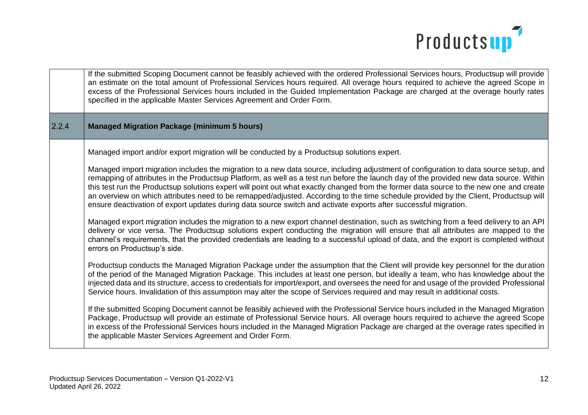

|       | If the submitted Scoping Document cannot be feasibly achieved with the ordered Professional Services hours, Productsup will provide<br>an estimate on the total amount of Professional Services hours required. All overage hours required to achieve the agreed Scope in<br>excess of the Professional Services hours included in the Guided Implementation Package are charged at the overage hourly rates<br>specified in the applicable Master Services Agreement and Order Form.                                                                                                                                                                                                   |
|-------|-----------------------------------------------------------------------------------------------------------------------------------------------------------------------------------------------------------------------------------------------------------------------------------------------------------------------------------------------------------------------------------------------------------------------------------------------------------------------------------------------------------------------------------------------------------------------------------------------------------------------------------------------------------------------------------------|
| 2.2.4 | <b>Managed Migration Package (minimum 5 hours)</b>                                                                                                                                                                                                                                                                                                                                                                                                                                                                                                                                                                                                                                      |
|       | Managed import and/or export migration will be conducted by a Productsup solutions expert.                                                                                                                                                                                                                                                                                                                                                                                                                                                                                                                                                                                              |
|       | Managed import migration includes the migration to a new data source, including adjustment of configuration to data source setup, and<br>remapping of attributes in the Productsup Platform, as well as a test run before the launch day of the provided new data source. Within<br>this test run the Productsup solutions expert will point out what exactly changed from the former data source to the new one and create<br>an overview on which attributes need to be remapped/adjusted. According to the time schedule provided by the Client, Productsup will<br>ensure deactivation of export updates during data source switch and activate exports after successful migration. |
|       | Managed export migration includes the migration to a new export channel destination, such as switching from a feed delivery to an API<br>delivery or vice versa. The Productsup solutions expert conducting the migration will ensure that all attributes are mapped to the<br>channel's requirements, that the provided credentials are leading to a successful upload of data, and the export is completed without<br>errors on Productsup's side.                                                                                                                                                                                                                                    |
|       | Productsup conducts the Managed Migration Package under the assumption that the Client will provide key personnel for the duration<br>of the period of the Managed Migration Package. This includes at least one person, but ideally a team, who has knowledge about the<br>injected data and its structure, access to credentials for import/export, and oversees the need for and usage of the provided Professional<br>Service hours. Invalidation of this assumption may alter the scope of Services required and may result in additional costs.                                                                                                                                   |
|       | If the submitted Scoping Document cannot be feasibly achieved with the Professional Service hours included in the Managed Migration<br>Package, Productsup will provide an estimate of Professional Service hours. All overage hours required to achieve the agreed Scope<br>in excess of the Professional Services hours included in the Managed Migration Package are charged at the overage rates specified in<br>the applicable Master Services Agreement and Order Form.                                                                                                                                                                                                           |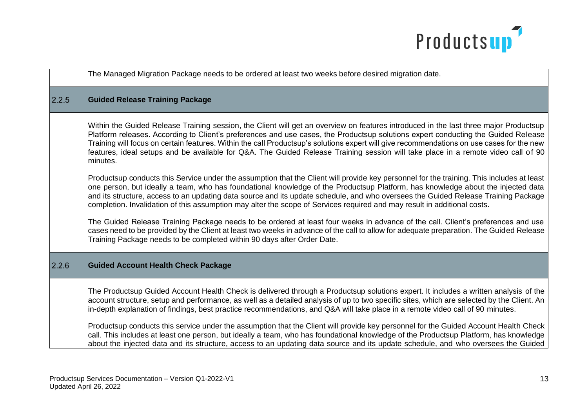

|       | The Managed Migration Package needs to be ordered at least two weeks before desired migration date.                                                                                                                                                                                                                                                                                                                                                                                                                                                                                                                                                                                                                                                                                                                                        |
|-------|--------------------------------------------------------------------------------------------------------------------------------------------------------------------------------------------------------------------------------------------------------------------------------------------------------------------------------------------------------------------------------------------------------------------------------------------------------------------------------------------------------------------------------------------------------------------------------------------------------------------------------------------------------------------------------------------------------------------------------------------------------------------------------------------------------------------------------------------|
| 2.2.5 | <b>Guided Release Training Package</b>                                                                                                                                                                                                                                                                                                                                                                                                                                                                                                                                                                                                                                                                                                                                                                                                     |
|       | Within the Guided Release Training session, the Client will get an overview on features introduced in the last three major Productsup<br>Platform releases. According to Client's preferences and use cases, the Productsup solutions expert conducting the Guided Release<br>Training will focus on certain features. Within the call Productsup's solutions expert will give recommendations on use cases for the new<br>features, ideal setups and be available for Q&A. The Guided Release Training session will take place in a remote video call of 90<br>minutes.                                                                                                                                                                                                                                                                   |
|       | Productsup conducts this Service under the assumption that the Client will provide key personnel for the training. This includes at least<br>one person, but ideally a team, who has foundational knowledge of the Productsup Platform, has knowledge about the injected data<br>and its structure, access to an updating data source and its update schedule, and who oversees the Guided Release Training Package<br>completion. Invalidation of this assumption may alter the scope of Services required and may result in additional costs.                                                                                                                                                                                                                                                                                            |
|       | The Guided Release Training Package needs to be ordered at least four weeks in advance of the call. Client's preferences and use<br>cases need to be provided by the Client at least two weeks in advance of the call to allow for adequate preparation. The Guided Release<br>Training Package needs to be completed within 90 days after Order Date.                                                                                                                                                                                                                                                                                                                                                                                                                                                                                     |
| 2.2.6 | <b>Guided Account Health Check Package</b>                                                                                                                                                                                                                                                                                                                                                                                                                                                                                                                                                                                                                                                                                                                                                                                                 |
|       | The Productsup Guided Account Health Check is delivered through a Productsup solutions expert. It includes a written analysis of the<br>account structure, setup and performance, as well as a detailed analysis of up to two specific sites, which are selected by the Client. An<br>in-depth explanation of findings, best practice recommendations, and Q&A will take place in a remote video call of 90 minutes.<br>Productsup conducts this service under the assumption that the Client will provide key personnel for the Guided Account Health Check<br>call. This includes at least one person, but ideally a team, who has foundational knowledge of the Productsup Platform, has knowledge<br>about the injected data and its structure, access to an updating data source and its update schedule, and who oversees the Guided |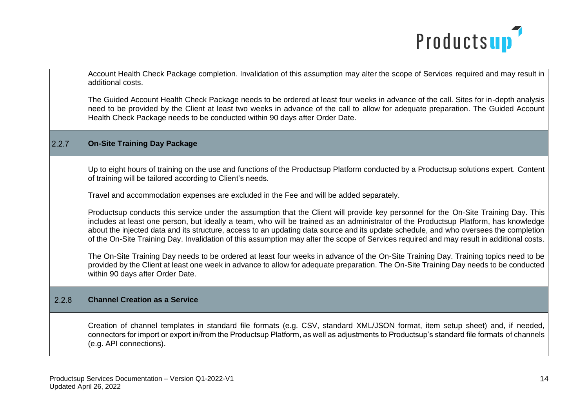

|       | Account Health Check Package completion. Invalidation of this assumption may alter the scope of Services required and may result in<br>additional costs.<br>The Guided Account Health Check Package needs to be ordered at least four weeks in advance of the call. Sites for in-depth analysis<br>need to be provided by the Client at least two weeks in advance of the call to allow for adequate preparation. The Guided Account<br>Health Check Package needs to be conducted within 90 days after Order Date.                                                                                                                                                                                                                                                                                                                                                                                                                                                                                                                                                                                                                                                                   |
|-------|---------------------------------------------------------------------------------------------------------------------------------------------------------------------------------------------------------------------------------------------------------------------------------------------------------------------------------------------------------------------------------------------------------------------------------------------------------------------------------------------------------------------------------------------------------------------------------------------------------------------------------------------------------------------------------------------------------------------------------------------------------------------------------------------------------------------------------------------------------------------------------------------------------------------------------------------------------------------------------------------------------------------------------------------------------------------------------------------------------------------------------------------------------------------------------------|
| 2.2.7 | <b>On-Site Training Day Package</b>                                                                                                                                                                                                                                                                                                                                                                                                                                                                                                                                                                                                                                                                                                                                                                                                                                                                                                                                                                                                                                                                                                                                                   |
|       | Up to eight hours of training on the use and functions of the Productsup Platform conducted by a Productsup solutions expert. Content<br>of training will be tailored according to Client's needs.<br>Travel and accommodation expenses are excluded in the Fee and will be added separately.<br>Productsup conducts this service under the assumption that the Client will provide key personnel for the On-Site Training Day. This<br>includes at least one person, but ideally a team, who will be trained as an administrator of the Productsup Platform, has knowledge<br>about the injected data and its structure, access to an updating data source and its update schedule, and who oversees the completion<br>of the On-Site Training Day. Invalidation of this assumption may alter the scope of Services required and may result in additional costs.<br>The On-Site Training Day needs to be ordered at least four weeks in advance of the On-Site Training Day. Training topics need to be<br>provided by the Client at least one week in advance to allow for adequate preparation. The On-Site Training Day needs to be conducted<br>within 90 days after Order Date. |
| 2.2.8 | <b>Channel Creation as a Service</b>                                                                                                                                                                                                                                                                                                                                                                                                                                                                                                                                                                                                                                                                                                                                                                                                                                                                                                                                                                                                                                                                                                                                                  |
|       | Creation of channel templates in standard file formats (e.g. CSV, standard XML/JSON format, item setup sheet) and, if needed,<br>connectors for import or export in/from the Productsup Platform, as well as adjustments to Productsup's standard file formats of channels<br>(e.g. API connections).                                                                                                                                                                                                                                                                                                                                                                                                                                                                                                                                                                                                                                                                                                                                                                                                                                                                                 |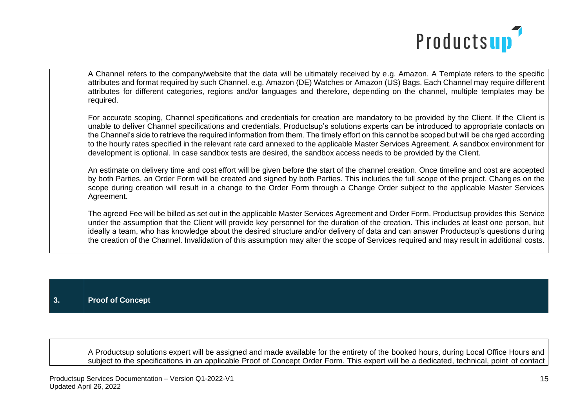

A Channel refers to the company/website that the data will be ultimately received by e.g. Amazon. A Template refers to the specific attributes and format required by such Channel. e.g. Amazon (DE) Watches or Amazon (US) Bags. Each Channel may require different attributes for different categories, regions and/or languages and therefore, depending on the channel, multiple templates may be required.

For accurate scoping, Channel specifications and credentials for creation are mandatory to be provided by the Client. If the Client is unable to deliver Channel specifications and credentials, Productsup's solutions experts can be introduced to appropriate contacts on the Channel's side to retrieve the required information from them. The timely effort on this cannot be scoped but will be charged according to the hourly rates specified in the relevant rate card annexed to the applicable Master Services Agreement. A sandbox environment for development is optional. In case sandbox tests are desired, the sandbox access needs to be provided by the Client.

An estimate on delivery time and cost effort will be given before the start of the channel creation. Once timeline and cost are accepted by both Parties, an Order Form will be created and signed by both Parties. This includes the full scope of the project. Changes on the scope during creation will result in a change to the Order Form through a Change Order subject to the applicable Master Services Agreement.

The agreed Fee will be billed as set out in the applicable Master Services Agreement and Order Form. Productsup provides this Service under the assumption that the Client will provide key personnel for the duration of the creation. This includes at least one person, but ideally a team, who has knowledge about the desired structure and/or delivery of data and can answer Productsup's questions during the creation of the Channel. Invalidation of this assumption may alter the scope of Services required and may result in additional costs.

| 3. | <b>Proof of Concept</b> |
|----|-------------------------|
|    |                         |

A Productsup solutions expert will be assigned and made available for the entirety of the booked hours, during Local Office Hours and subject to the specifications in an applicable Proof of Concept Order Form. This expert will be a dedicated, technical, point of contact